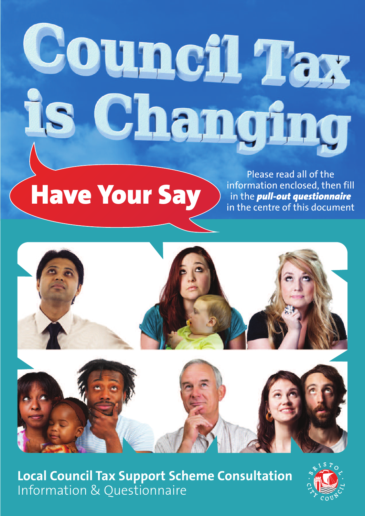# Council Tax Changing IS.

# **Have Your Say**

Please read all of the information enclosed, then fill in the *pull-out questionnaire* in the centre of this document



**Local Council Tax Support Scheme Consultation** Information & Questionnaire

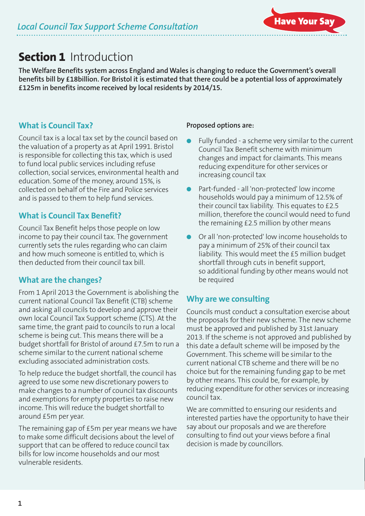# **Section 1** Introduction

**The Welfare Benefits system across England and Wales is changing to reduce the Government's overall** benefits bill by £18 billion. For Bristol it is estimated that there could be a potential loss of approximately **£125m in benefits income received by local residents by 2014/15.**

#### **What is Council Tax?**

Council tax is a local tax set by the council based on the valuation of a property as at April 1991. Bristol is responsible for collecting this tax, which is used to fund local public services including refuse collection, social services, environmental health and education. Some of the money, around 15%, is collected on behalf of the Fire and Police services and is passed to them to help fund services.

#### **What is Council Tax Benefit?**

Council Tax Benefit helps those people on low income to pay their council tax. The government currently sets the rules regarding who can claim and how much someone is entitled to, which is then deducted from their council tax bill.

#### **What are the changes?**

From 1 April 2013 the Government is abolishing the current national Council Tax Benefit (CTB) scheme and asking all councils to develop and approve their own local Council Tax Support scheme (CTS). At the same time, the grant paid to councils to run a local scheme is being cut. This means there will be a budget shortfall for Bristol of around £7.5m to run a scheme similar to the current national scheme excluding associated administration costs.

To help reduce the budget shortfall, the council has agreed to use some new discretionary powers to make changes to a number of council tax discounts and exemptions for empty properties to raise new income. This will reduce the budget shortfall to around £5m per year.

The remaining gap of £5m per year means we have to make some difficult decisions about the level of support that can be offered to reduce council tax bills for low income households and our most vulnerable residents.

#### **Proposed options are:**

- Fully funded a scheme very similar to the current Council Tax Benefit scheme with minimum changes and impact for claimants. This means reducing expenditure for other services or increasing council tax
- l Part-funded all 'non-protected' low income households would pay a minimum of 12.5% of their council tax liability. This equates to £2.5 million, therefore the council would need to fund the remaining £2.5 million by other means
- Or all 'non-protected' low income households to pay a minimum of 25% of their council tax liability. This would meet the £5 million budget shortfall through cuts in benefit support, so additional funding by other means would not be required

#### **Why are we consulting**

Councils must conduct a consultation exercise about the proposals for their new scheme. The new scheme must be approved and published by 31st January 2013. If the scheme is not approved and published by this date a default scheme will be imposed by the Government. This scheme will be similar to the current national CTB scheme and there will be no choice but for the remaining funding gap to be met by other means. This could be, for example, by reducing expenditure for other services or increasing council tax.

We are committed to ensuring our residents and interested parties have the opportunity to have their say about our proposals and we are therefore consulting to find out your views before a final decision is made by councillors.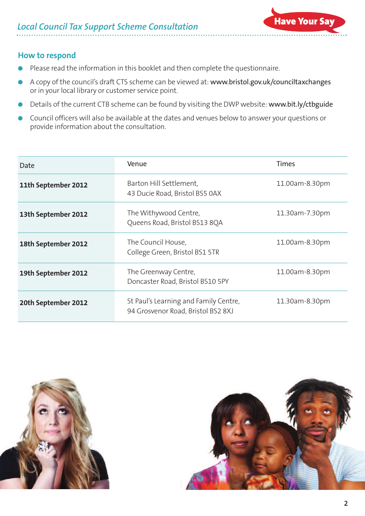

#### **How to respond**

- Please read the information in this booklet and then complete the questionnaire.
- l A copy of the council's draft CTS scheme can be viewed at: www.bristol.gov.uk/counciltaxchanges or in your local library or customer service point.
- Details of the current CTB scheme can be found by visiting the DWP website: www.bit.ly/ctbguide
- Council officers will also be available at the dates and venues below to answer your questions or provide information about the consultation.

| Date                | Venue                                                                       | <b>Times</b>   |
|---------------------|-----------------------------------------------------------------------------|----------------|
| 11th September 2012 | Barton Hill Settlement,<br>43 Ducie Road, Bristol BS5 0AX                   | 11.00am-8.30pm |
| 13th September 2012 | The Withywood Centre,<br>Queens Road, Bristol BS13 8QA                      | 11.30am-7.30pm |
| 18th September 2012 | The Council House,<br>College Green, Bristol BS1 5TR                        | 11.00am-8.30pm |
| 19th September 2012 | The Greenway Centre,<br>Doncaster Road, Bristol BS10 5PY                    | 11.00am-8.30pm |
| 20th September 2012 | St Paul's Learning and Family Centre,<br>94 Grosvenor Road, Bristol BS2 8XJ | 11.30am-8.30pm |



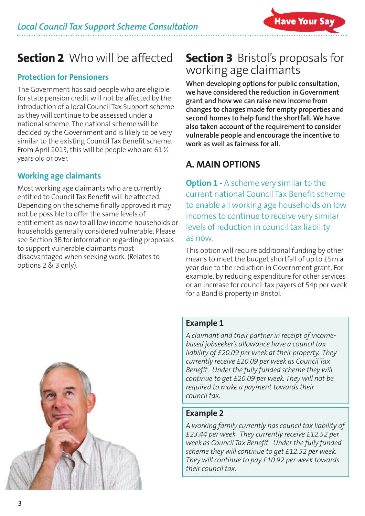# **Section 2** Who will be affected

#### **Protection for Pensioners**

The Government has said people who are eligible for state pension credit will not be affected by the introduction of a local Council Tax Support scheme as they will continue to be assessed under a national scheme. The national scheme will be decided by the Government and is likely to be very similar to the existing Council Tax Benefit scheme. From April 2013, this will be people who are 61 ½ years old or over.

#### **Working age claimants**

Most working age claimants who are currently entitled to Council Tax Benefit will be affected. Depending on the scheme finally approved it may not be possible to offer the same levels of entitlement as now to all low income households or households generally considered vulnerable. Please see Section 3B for information regarding proposals to support vulnerable claimants most disadvantaged when seeking work. (Relates to options 2 & 3 only).

# **Section 3** Bristol' s proposals for working age claimants

**When developing options for public consultation, we have considered the reduction in Government grant and how we can raise new income from changes to charges made for empty properties and second homes to help fund the shortfall. We have also taken account of the requirement to consider vulnerable people and encourage the incentive to work as well as fairness for all.**

## **A. MAIN OPTIONS**

**Option 1 -** A scheme very similar to the current national Council Tax Benefit scheme to enable all working age households on low incomes to continue to receive very similar levels of reduction in council tax liability as now.

This option will require additional funding by other means to meet the budget shortfall of up to £5m a year due to the reduction in Government grant. For example, by reducing expenditure for other services or an increase for council tax payers of 54p per week for a Band B property in Bristol.

#### **Example 1**

*A claimant and their partner in receipt of incomebased jobseeker's allowance have a council tax liability of £20.09 per week at their property. They currently receive £20.09 per week as Council Tax Benefit. Under the fully funded scheme they will continue to get £20.09 per week. They will not be required to make a payment towards their council tax.*

#### **Example 2**

*A working family currently has council tax liability of £23.44 per week. They currently receive £12.52 per week as Council Tax Benefit. Under the fully funded scheme they will continue to get £12.52 per week. They will continue to pay £10.92 per week towards their council tax.*

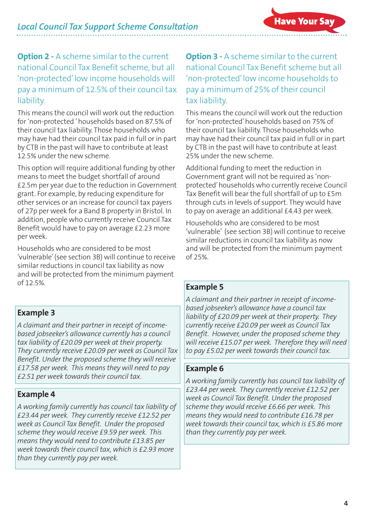#### **Option 2 -** A scheme similar to the current national Council Tax Benefit scheme, but all 'non-protected'low income households will pay a minimum of 12.5% of their council tax liability.

This means the council will work out the reduction for 'non-protected 'households based on 87.5% of their council tax liability. Those households who may have had their council tax paid in full or in part by CTB in the past will have to contribute at least 12.5% under the new scheme.

This option will require additional funding by other means to meet the budget shortfall of around £2.5m per year due to the reduction in Government grant. For example, by reducing expenditure for other services or an increase for council tax payers of 27p per week for a Band B property in Bristol. In addition, people who currently receive Council Tax Benefit would have to pay on average £2.23 more per week.

Households who are considered to be most 'vulnerable'(see section 3B) will continue to receive similar reductions in council tax liability as now and will be protected from the minimum payment of 12.5%.

#### **Example 3**

*A claimant and their partner in receipt of incomebased jobseeker's allowance currently has a council tax liability of £20.09 per week at their property. They currently receive £20.09 per week as Council Tax Benefit. Under the proposed scheme they will receive £17.58 per week. This means they will need to pay £2.51 per week towards their council tax.*

#### **Example 4**

*A working family currently has council tax liability of £23.44 per week. They currently receive £12.52 per week as Council Tax Benefit. Under the proposed scheme they would receive £9.59 per week. This means they would need to contribute £13.85 per week towards their council tax, which is £2.93 more than they currently pay per week.*

#### **Option 3 -** A scheme similar to the current national Council Tax Benefit scheme but all 'non-protected'low income households to pay a minimum of 25% of their council tax liability.

This means the council will work out the reduction for 'non-protected'households based on 75% of their council tax liability. Those households who may have had their council tax paid in full or in part by CTB in the past will have to contribute at least 25% under the new scheme.

Additional funding to meet the reduction in Government grant will not be required as 'nonprotected'households who currently receive Council Tax Benefit will bear the full shortfall of up to £5m through cuts in levels of support. They would have to pay on average an additional £4.43 per week.

Households who are considered to be most 'vulnerable' (see section 3B) will continue to receive similar reductions in council tax liability as now and will be protected from the minimum payment of 25%.

#### **Example 5**

*A claimant and their partner in receipt of incomebased jobseeker's allowance have a council tax liability of £20.09 per week at their property. They currently receive £20.09 per week as Council Tax Benefit. However, under the proposed scheme they will receive £15.07 per week. Therefore they will need to pay £5.02 per week towards their council tax.*

#### **Example 6**

*A working family currently has council tax liability of £23.44 per week. They currently receive £12.52 per week as Council Tax Benefit. Under the proposed scheme they would receive £6.66 per week. This means they would need to contribute £16.78 per week towards their council tax, which is £5.86 more than they currently pay per week.*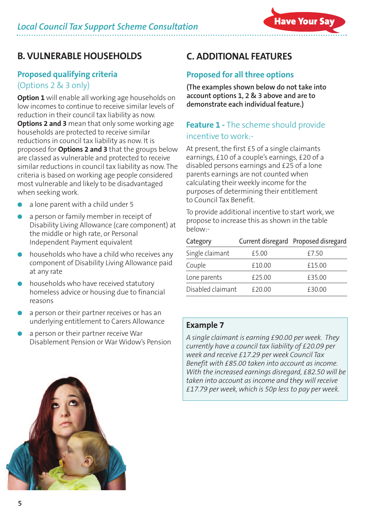### **B. VULNERABLE HOUSEHOLDS**

#### **Proposed qualifying criteria**

#### (Options 2 & 3 only)

**Option 1** will enable all working age households on low incomes to continue to receive similar levels of reduction in their council tax liability as now. **Options 2 and 3** mean that only some working age households are protected to receive similar reductions in council tax liability as now. It is proposed for **Options 2 and 3** that the groups below are classed as vulnerable and protected to receive similar reductions in council tax liability as now. The criteria is based on working age people considered most vulnerable and likely to be disadvantaged when seeking work.

- a lone parent with a child under 5
- a person or family member in receipt of Disability Living Allowance (care component) at the middle or high rate, or Personal Independent Payment equivalent
- households who have a child who receives any component of Disability Living Allowance paid at any rate
- households who have received statutory homeless advice or housing due to financial reasons
- a person or their partner receives or has an underlying entitlement to Carers Allowance
- a person or their partner receive War Disablement Pension or War Widow's Pension

# **C. ADDITIONAL FEATURES**

#### **Proposed for all three options**

**(The examples shown below do not take into account options 1, 2 & 3 above and are to demonstrate each individual feature.)**

#### **Feature 1 -** The scheme should provide incentive to work:-

At present, the first £5 of a single claimants earnings, £10 of a couple's earnings, £20 of a disabled persons earnings and £25 of a lone parents earnings are not counted when calculating their weekly income for the purposes of determining their entitlement to Council Tax Benefit.

To provide additional incentive to start work, we propose to increase this as shown in the table below:-

| Category          |        | Current disregard Proposed disregard |
|-------------------|--------|--------------------------------------|
| Single claimant   | £5.00  | £7.50                                |
| Couple            | £10.00 | £15.00                               |
| Lone parents      | £25.00 | £35.00                               |
| Disabled claimant | £20.00 | £30.00                               |

#### **Example 7**

*A single claimant is earning £90.00 per week. They currently have a council tax liability of £20.09 per week and receive £17.29 per week Council Tax Benefit with £85.00 taken into account as income. With the increased earnings disregard, £82.50 will be taken into account as income and they will receive £17.79 per week, which is 50p less to pay per week.*

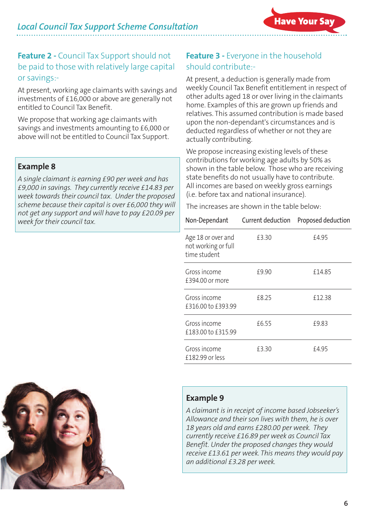#### **Feature 2 -** Council Tax Support should not be paid to those with relatively large capital or savings:-

At present, working age claimants with savings and investments of £16,000 or above are generally not entitled to Council Tax Benefit.

We propose that working age claimants with savings and investments amounting to £6,000 or above will not be entitled to Council Tax Support.

#### **Example 8**

*A single claimant is earning £90 per week and has £9,000 in savings. They currently receive £14.83 per week towards their council tax. Under the proposed scheme because their capital is over £6,000 they will not get any support and will have to pay £20.09 per week for their council tax.*

#### **Feature 3 -** Everyone in the household should contribute:-

At present, a deduction is generally made from weekly Council Tax Benefit entitlement in respect of other adults aged 18 or over living in the claimants home. Examples of this are grown up friends and relatives. This assumed contribution is made based upon the non-dependant's circumstances and is deducted regardless of whether or not they are actually contributing.

We propose increasing existing levels of these contributions for working age adults by 50% as shown in the table below. Those who are receiving state benefits do not usually have to contribute. All incomes are based on weekly gross earnings (i.e. before tax and national insurance).

The increases are shown in the table below:

| Non-Dependant                                             | Current deduction | Proposed deduction |
|-----------------------------------------------------------|-------------------|--------------------|
| Age 18 or over and<br>not working or full<br>time student | £3.30             | £4.95              |
| Gross income<br>£394.00 or more                           | £9.90             | £14.85             |
| Gross income<br>£316.00 to £393.99                        | f8.25             | £12.38             |
| Gross income<br>£183.00 to £315.99                        | £6.55             | £9.83              |
| Gross income<br>£182.99 or less                           | £3.30             | £4.95              |



#### **Example 9**

*A claimant is in receipt of income based Jobseeker's Allowance and their son lives with them, he is over 18 years old and earns £280.00 per week. They currently receive £16.89 per week as Council Tax Benefit. Under the proposed changes they would receive £13.61 per week. This means they would pay an additional £3.28 per week.*